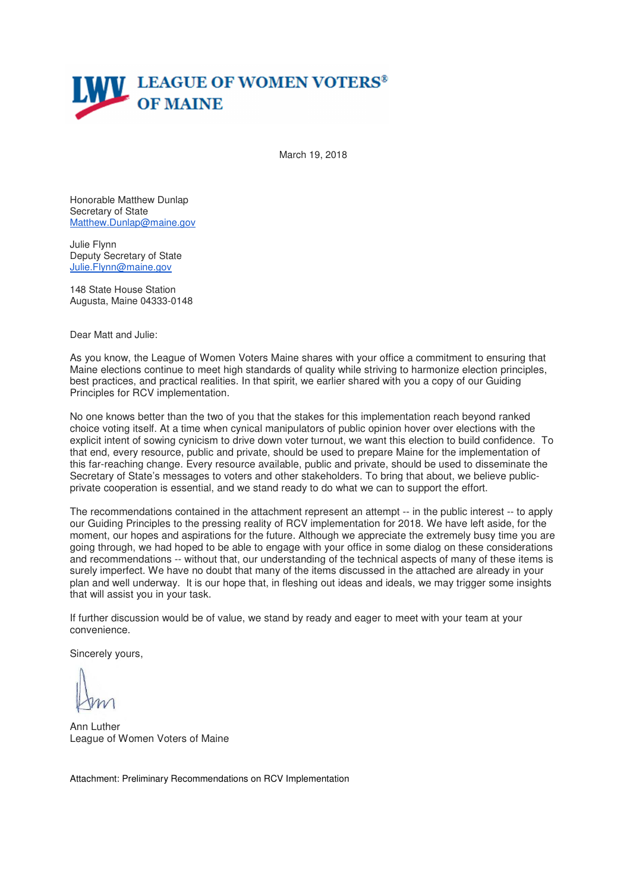

March 19, 2018

Honorable Matthew Dunlap Secretary of State Matthew.Dunlap@maine.gov

Julie Flynn Deputy Secretary of State Julie.Flynn@maine.gov

148 State House Station Augusta, Maine 04333-0148

Dear Matt and Julie:

As you know, the League of Women Voters Maine shares with your office a commitment to ensuring that Maine elections continue to meet high standards of quality while striving to harmonize election principles, best practices, and practical realities. In that spirit, we earlier shared with you a copy of our Guiding Principles for RCV implementation.

No one knows better than the two of you that the stakes for this implementation reach beyond ranked choice voting itself. At a time when cynical manipulators of public opinion hover over elections with the explicit intent of sowing cynicism to drive down voter turnout, we want this election to build confidence. To that end, every resource, public and private, should be used to prepare Maine for the implementation of this far-reaching change. Every resource available, public and private, should be used to disseminate the Secretary of State's messages to voters and other stakeholders. To bring that about, we believe publicprivate cooperation is essential, and we stand ready to do what we can to support the effort.

The recommendations contained in the attachment represent an attempt -- in the public interest -- to apply our Guiding Principles to the pressing reality of RCV implementation for 2018. We have left aside, for the moment, our hopes and aspirations for the future. Although we appreciate the extremely busy time you are going through, we had hoped to be able to engage with your office in some dialog on these considerations and recommendations -- without that, our understanding of the technical aspects of many of these items is surely imperfect. We have no doubt that many of the items discussed in the attached are already in your plan and well underway. It is our hope that, in fleshing out ideas and ideals, we may trigger some insights that will assist you in your task.

If further discussion would be of value, we stand by ready and eager to meet with your team at your convenience.

Sincerely yours,

Ann Luther League of Women Voters of Maine

Attachment: Preliminary Recommendations on RCV Implementation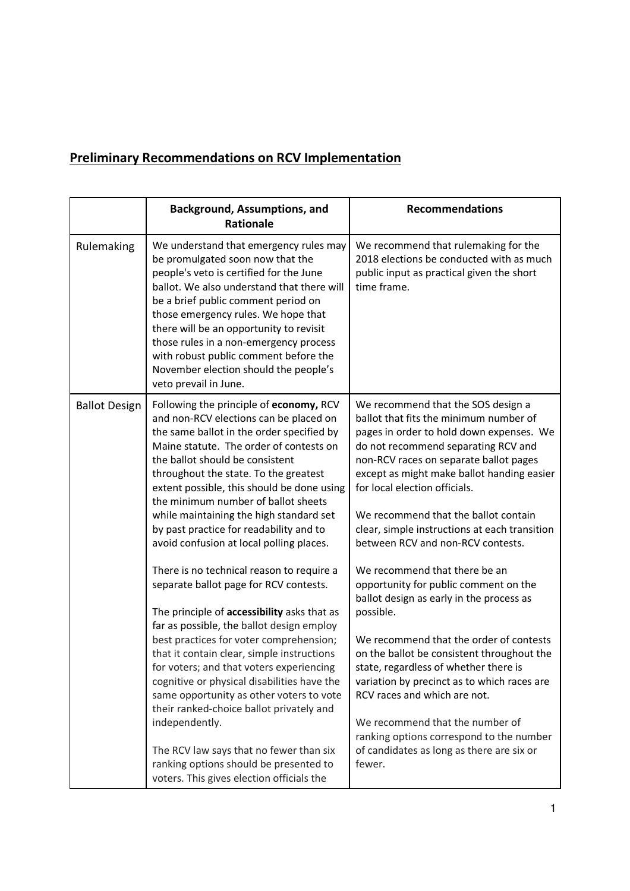## **Preliminary Recommendations on RCV Implementation**

|                      | <b>Background, Assumptions, and</b><br><b>Rationale</b>                                                                                                                                                                                                                                                                                                                                                                                                                                                                                                                                                         | <b>Recommendations</b>                                                                                                                                                                                                                                                                                                                                                                                                                                                                 |
|----------------------|-----------------------------------------------------------------------------------------------------------------------------------------------------------------------------------------------------------------------------------------------------------------------------------------------------------------------------------------------------------------------------------------------------------------------------------------------------------------------------------------------------------------------------------------------------------------------------------------------------------------|----------------------------------------------------------------------------------------------------------------------------------------------------------------------------------------------------------------------------------------------------------------------------------------------------------------------------------------------------------------------------------------------------------------------------------------------------------------------------------------|
| Rulemaking           | We understand that emergency rules may<br>be promulgated soon now that the<br>people's veto is certified for the June<br>ballot. We also understand that there will<br>be a brief public comment period on<br>those emergency rules. We hope that<br>there will be an opportunity to revisit<br>those rules in a non-emergency process<br>with robust public comment before the<br>November election should the people's<br>veto prevail in June.                                                                                                                                                               | We recommend that rulemaking for the<br>2018 elections be conducted with as much<br>public input as practical given the short<br>time frame.                                                                                                                                                                                                                                                                                                                                           |
| <b>Ballot Design</b> | Following the principle of economy, RCV<br>and non-RCV elections can be placed on<br>the same ballot in the order specified by<br>Maine statute. The order of contests on<br>the ballot should be consistent<br>throughout the state. To the greatest<br>extent possible, this should be done using<br>the minimum number of ballot sheets<br>while maintaining the high standard set<br>by past practice for readability and to<br>avoid confusion at local polling places.                                                                                                                                    | We recommend that the SOS design a<br>ballot that fits the minimum number of<br>pages in order to hold down expenses. We<br>do not recommend separating RCV and<br>non-RCV races on separate ballot pages<br>except as might make ballot handing easier<br>for local election officials.<br>We recommend that the ballot contain<br>clear, simple instructions at each transition<br>between RCV and non-RCV contests.                                                                 |
|                      | There is no technical reason to require a<br>separate ballot page for RCV contests.<br>The principle of accessibility asks that as<br>far as possible, the ballot design employ<br>best practices for voter comprehension;<br>that it contain clear, simple instructions<br>for voters; and that voters experiencing<br>cognitive or physical disabilities have the<br>same opportunity as other voters to vote<br>their ranked-choice ballot privately and<br>independently.<br>The RCV law says that no fewer than six<br>ranking options should be presented to<br>voters. This gives election officials the | We recommend that there be an<br>opportunity for public comment on the<br>ballot design as early in the process as<br>possible.<br>We recommend that the order of contests<br>on the ballot be consistent throughout the<br>state, regardless of whether there is<br>variation by precinct as to which races are<br>RCV races and which are not.<br>We recommend that the number of<br>ranking options correspond to the number<br>of candidates as long as there are six or<br>fewer. |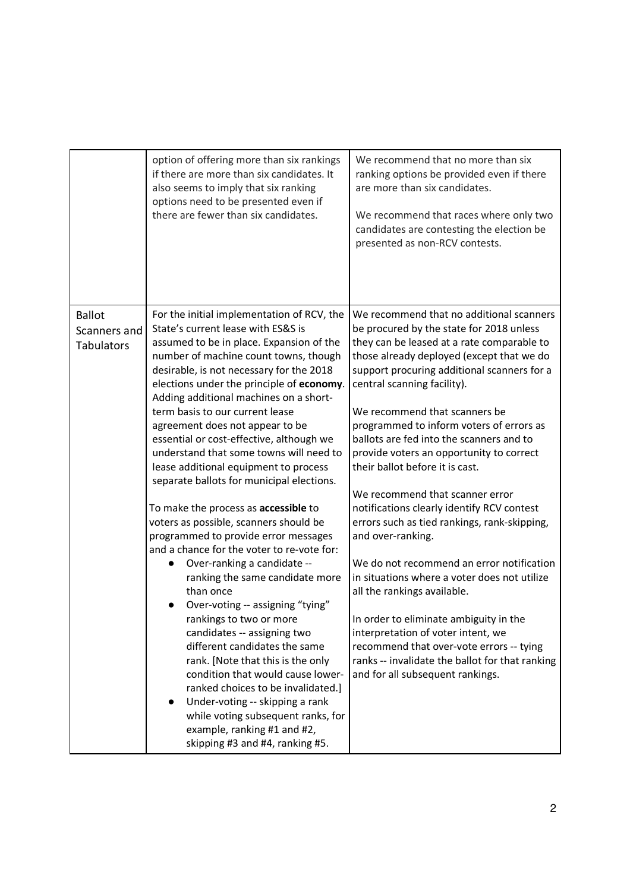|                                                    | option of offering more than six rankings<br>if there are more than six candidates. It<br>also seems to imply that six ranking<br>options need to be presented even if<br>there are fewer than six candidates.                                                                                                                                                                                                                                                                                                                                                                                                                                                                                                                                                                                                                                                                                                                                                                                                                                                                                                                                                                                               | We recommend that no more than six<br>ranking options be provided even if there<br>are more than six candidates.<br>We recommend that races where only two<br>candidates are contesting the election be<br>presented as non-RCV contests.                                                                                                                                                                                                                                                                                                                                                                                                                                                                                                                                                                                                                                                                                                                                  |
|----------------------------------------------------|--------------------------------------------------------------------------------------------------------------------------------------------------------------------------------------------------------------------------------------------------------------------------------------------------------------------------------------------------------------------------------------------------------------------------------------------------------------------------------------------------------------------------------------------------------------------------------------------------------------------------------------------------------------------------------------------------------------------------------------------------------------------------------------------------------------------------------------------------------------------------------------------------------------------------------------------------------------------------------------------------------------------------------------------------------------------------------------------------------------------------------------------------------------------------------------------------------------|----------------------------------------------------------------------------------------------------------------------------------------------------------------------------------------------------------------------------------------------------------------------------------------------------------------------------------------------------------------------------------------------------------------------------------------------------------------------------------------------------------------------------------------------------------------------------------------------------------------------------------------------------------------------------------------------------------------------------------------------------------------------------------------------------------------------------------------------------------------------------------------------------------------------------------------------------------------------------|
| <b>Ballot</b><br>Scanners and<br><b>Tabulators</b> | For the initial implementation of RCV, the<br>State's current lease with ES&S is<br>assumed to be in place. Expansion of the<br>number of machine count towns, though<br>desirable, is not necessary for the 2018<br>elections under the principle of economy.<br>Adding additional machines on a short-<br>term basis to our current lease<br>agreement does not appear to be<br>essential or cost-effective, although we<br>understand that some towns will need to<br>lease additional equipment to process<br>separate ballots for municipal elections.<br>To make the process as accessible to<br>voters as possible, scanners should be<br>programmed to provide error messages<br>and a chance for the voter to re-vote for:<br>Over-ranking a candidate --<br>ranking the same candidate more<br>than once<br>Over-voting -- assigning "tying"<br>rankings to two or more<br>candidates -- assigning two<br>different candidates the same<br>rank. [Note that this is the only<br>condition that would cause lower-<br>ranked choices to be invalidated.]<br>Under-voting -- skipping a rank<br>while voting subsequent ranks, for<br>example, ranking #1 and #2,<br>skipping #3 and #4, ranking #5. | We recommend that no additional scanners<br>be procured by the state for 2018 unless<br>they can be leased at a rate comparable to<br>those already deployed (except that we do<br>support procuring additional scanners for a<br>central scanning facility).<br>We recommend that scanners be<br>programmed to inform voters of errors as<br>ballots are fed into the scanners and to<br>provide voters an opportunity to correct<br>their ballot before it is cast.<br>We recommend that scanner error<br>notifications clearly identify RCV contest<br>errors such as tied rankings, rank-skipping,<br>and over-ranking.<br>We do not recommend an error notification<br>in situations where a voter does not utilize<br>all the rankings available.<br>In order to eliminate ambiguity in the<br>interpretation of voter intent, we<br>recommend that over-vote errors -- tying<br>ranks -- invalidate the ballot for that ranking<br>and for all subsequent rankings. |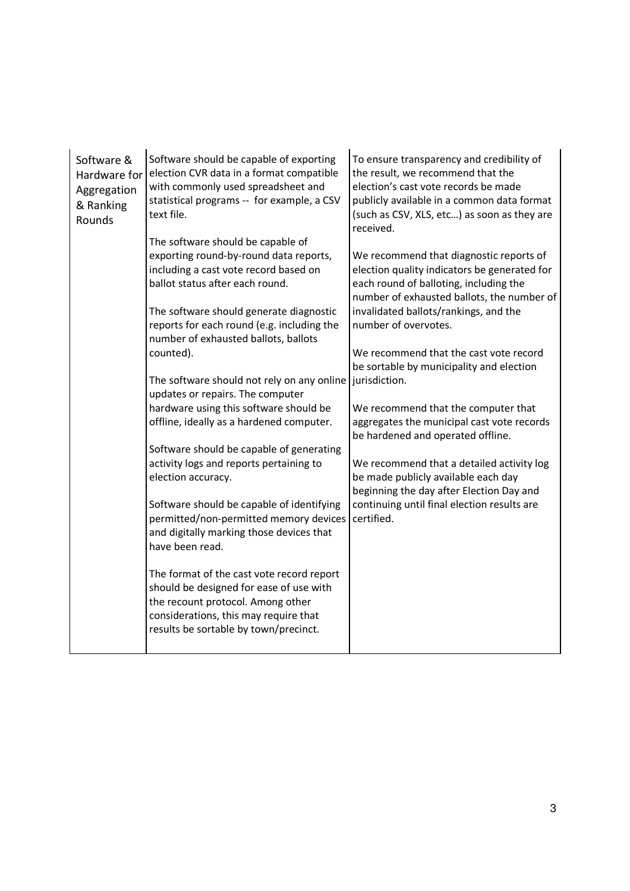| Software &<br>Hardware for<br>Aggregation<br>& Ranking<br>Rounds | Software should be capable of exporting<br>election CVR data in a format compatible<br>with commonly used spreadsheet and<br>statistical programs -- for example, a CSV<br>text file.                       | To ensure transparency and credibility of<br>the result, we recommend that the<br>election's cast vote records be made<br>publicly available in a common data format<br>(such as CSV, XLS, etc) as soon as they are<br>received. |
|------------------------------------------------------------------|-------------------------------------------------------------------------------------------------------------------------------------------------------------------------------------------------------------|----------------------------------------------------------------------------------------------------------------------------------------------------------------------------------------------------------------------------------|
|                                                                  | The software should be capable of<br>exporting round-by-round data reports,<br>including a cast vote record based on<br>ballot status after each round.                                                     | We recommend that diagnostic reports of<br>election quality indicators be generated for<br>each round of balloting, including the<br>number of exhausted ballots, the number of                                                  |
|                                                                  | The software should generate diagnostic<br>reports for each round (e.g. including the<br>number of exhausted ballots, ballots                                                                               | invalidated ballots/rankings, and the<br>number of overvotes.                                                                                                                                                                    |
|                                                                  | counted).                                                                                                                                                                                                   | We recommend that the cast vote record<br>be sortable by municipality and election                                                                                                                                               |
|                                                                  | The software should not rely on any online<br>updates or repairs. The computer                                                                                                                              | jurisdiction.                                                                                                                                                                                                                    |
|                                                                  | hardware using this software should be<br>offline, ideally as a hardened computer.                                                                                                                          | We recommend that the computer that<br>aggregates the municipal cast vote records<br>be hardened and operated offline.                                                                                                           |
|                                                                  | Software should be capable of generating                                                                                                                                                                    |                                                                                                                                                                                                                                  |
|                                                                  | activity logs and reports pertaining to<br>election accuracy.                                                                                                                                               | We recommend that a detailed activity log<br>be made publicly available each day<br>beginning the day after Election Day and                                                                                                     |
|                                                                  | Software should be capable of identifying<br>permitted/non-permitted memory devices<br>and digitally marking those devices that<br>have been read.                                                          | continuing until final election results are<br>certified.                                                                                                                                                                        |
|                                                                  | The format of the cast vote record report<br>should be designed for ease of use with<br>the recount protocol. Among other<br>considerations, this may require that<br>results be sortable by town/precinct. |                                                                                                                                                                                                                                  |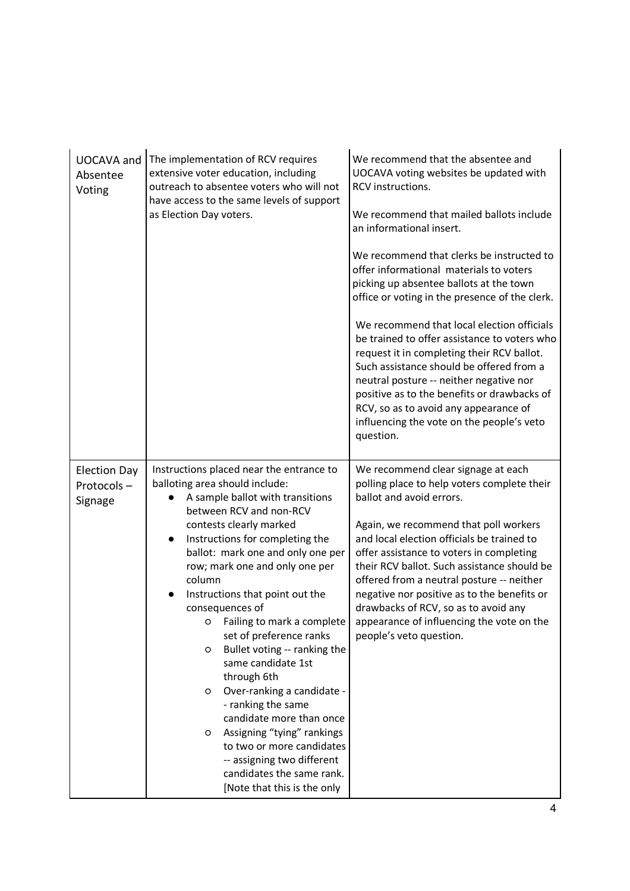| <b>UOCAVA</b> and<br>Absentee<br>Voting      | The implementation of RCV requires<br>extensive voter education, including<br>outreach to absentee voters who will not<br>have access to the same levels of support<br>as Election Day voters.                                                                                                                                                                                                                                                                                                                                                                                                                                                                                                                                                                     | We recommend that the absentee and<br>UOCAVA voting websites be updated with<br>RCV instructions.<br>We recommend that mailed ballots include<br>an informational insert.<br>We recommend that clerks be instructed to<br>offer informational materials to voters<br>picking up absentee ballots at the town<br>office or voting in the presence of the clerk.<br>We recommend that local election officials<br>be trained to offer assistance to voters who<br>request it in completing their RCV ballot.<br>Such assistance should be offered from a<br>neutral posture -- neither negative nor<br>positive as to the benefits or drawbacks of<br>RCV, so as to avoid any appearance of<br>influencing the vote on the people's veto<br>question. |
|----------------------------------------------|--------------------------------------------------------------------------------------------------------------------------------------------------------------------------------------------------------------------------------------------------------------------------------------------------------------------------------------------------------------------------------------------------------------------------------------------------------------------------------------------------------------------------------------------------------------------------------------------------------------------------------------------------------------------------------------------------------------------------------------------------------------------|-----------------------------------------------------------------------------------------------------------------------------------------------------------------------------------------------------------------------------------------------------------------------------------------------------------------------------------------------------------------------------------------------------------------------------------------------------------------------------------------------------------------------------------------------------------------------------------------------------------------------------------------------------------------------------------------------------------------------------------------------------|
| <b>Election Day</b><br>Protocols-<br>Signage | Instructions placed near the entrance to<br>balloting area should include:<br>A sample ballot with transitions<br>between RCV and non-RCV<br>contests clearly marked<br>Instructions for completing the<br>$\bullet$<br>ballot: mark one and only one per<br>row; mark one and only one per<br>column<br>Instructions that point out the<br>$\bullet$<br>consequences of<br>o Failing to mark a complete<br>set of preference ranks<br>Bullet voting -- ranking the<br>O<br>same candidate 1st<br>through 6th<br>Over-ranking a candidate -<br>$\circ$<br>- ranking the same<br>candidate more than once<br>Assigning "tying" rankings<br>O<br>to two or more candidates<br>-- assigning two different<br>candidates the same rank.<br>[Note that this is the only | We recommend clear signage at each<br>polling place to help voters complete their<br>ballot and avoid errors.<br>Again, we recommend that poll workers<br>and local election officials be trained to<br>offer assistance to voters in completing<br>their RCV ballot. Such assistance should be<br>offered from a neutral posture -- neither<br>negative nor positive as to the benefits or<br>drawbacks of RCV, so as to avoid any<br>appearance of influencing the vote on the<br>people's veto question.                                                                                                                                                                                                                                         |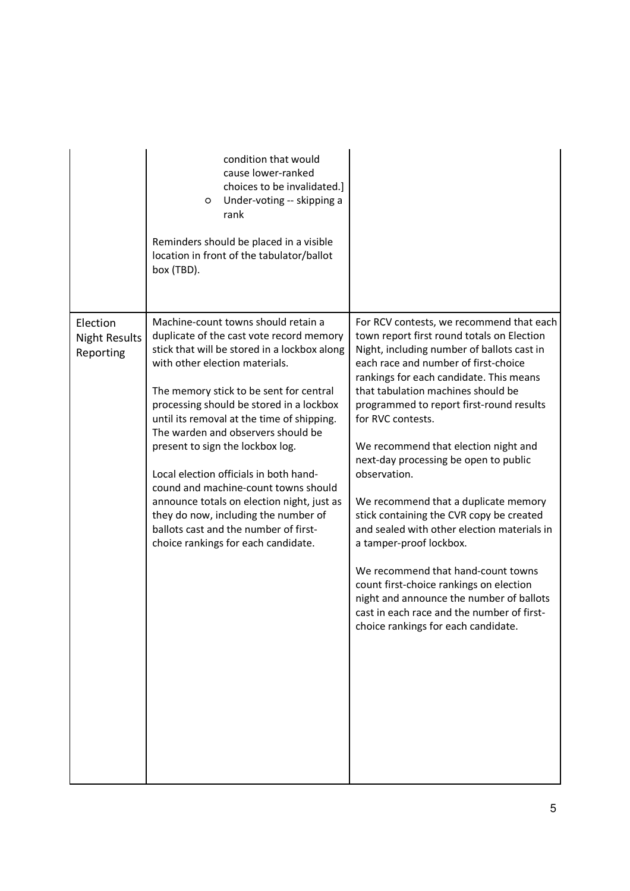|                                               | condition that would<br>cause lower-ranked<br>choices to be invalidated.]<br>Under-voting -- skipping a<br>O<br>rank<br>Reminders should be placed in a visible<br>location in front of the tabulator/ballot<br>box (TBD).                                                                                                                                                                                                                                                                                                                                                                                                               |                                                                                                                                                                                                                                                                                                                                                                                                                                                                                                                                                                                                                                                                                                                                                                                                                 |
|-----------------------------------------------|------------------------------------------------------------------------------------------------------------------------------------------------------------------------------------------------------------------------------------------------------------------------------------------------------------------------------------------------------------------------------------------------------------------------------------------------------------------------------------------------------------------------------------------------------------------------------------------------------------------------------------------|-----------------------------------------------------------------------------------------------------------------------------------------------------------------------------------------------------------------------------------------------------------------------------------------------------------------------------------------------------------------------------------------------------------------------------------------------------------------------------------------------------------------------------------------------------------------------------------------------------------------------------------------------------------------------------------------------------------------------------------------------------------------------------------------------------------------|
| Election<br><b>Night Results</b><br>Reporting | Machine-count towns should retain a<br>duplicate of the cast vote record memory<br>stick that will be stored in a lockbox along<br>with other election materials.<br>The memory stick to be sent for central<br>processing should be stored in a lockbox<br>until its removal at the time of shipping.<br>The warden and observers should be<br>present to sign the lockbox log.<br>Local election officials in both hand-<br>cound and machine-count towns should<br>announce totals on election night, just as<br>they do now, including the number of<br>ballots cast and the number of first-<br>choice rankings for each candidate. | For RCV contests, we recommend that each<br>town report first round totals on Election<br>Night, including number of ballots cast in<br>each race and number of first-choice<br>rankings for each candidate. This means<br>that tabulation machines should be<br>programmed to report first-round results<br>for RVC contests.<br>We recommend that election night and<br>next-day processing be open to public<br>observation.<br>We recommend that a duplicate memory<br>stick containing the CVR copy be created<br>and sealed with other election materials in<br>a tamper-proof lockbox.<br>We recommend that hand-count towns<br>count first-choice rankings on election<br>night and announce the number of ballots<br>cast in each race and the number of first-<br>choice rankings for each candidate. |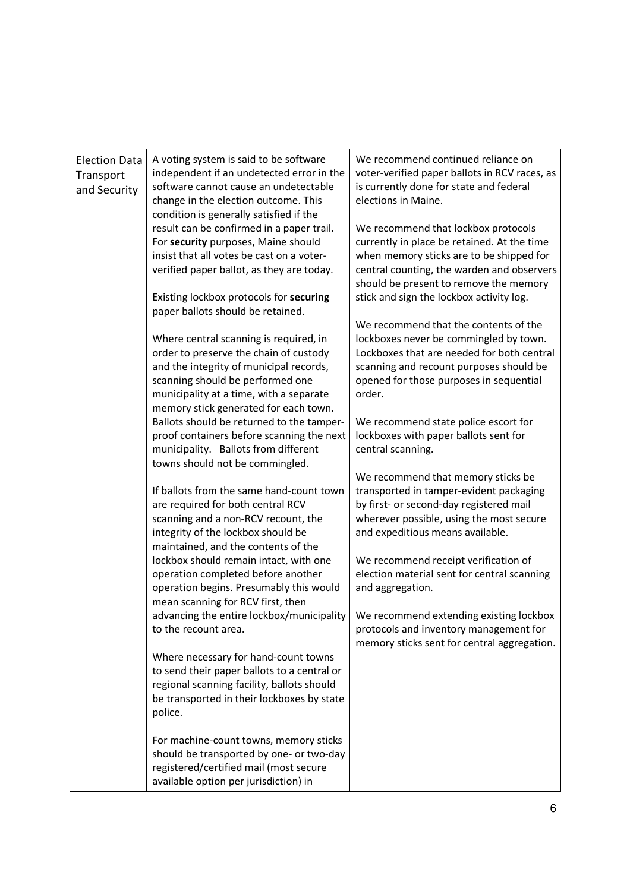| <b>Election Data</b><br>Transport<br>and Security | A voting system is said to be software<br>independent if an undetected error in the<br>software cannot cause an undetectable<br>change in the election outcome. This<br>condition is generally satisfied if the                                                                                                                       | We recommend continued reliance on<br>voter-verified paper ballots in RCV races, as<br>is currently done for state and federal<br>elections in Maine.                                                                                                                 |
|---------------------------------------------------|---------------------------------------------------------------------------------------------------------------------------------------------------------------------------------------------------------------------------------------------------------------------------------------------------------------------------------------|-----------------------------------------------------------------------------------------------------------------------------------------------------------------------------------------------------------------------------------------------------------------------|
|                                                   | result can be confirmed in a paper trail.<br>For security purposes, Maine should<br>insist that all votes be cast on a voter-<br>verified paper ballot, as they are today.<br>Existing lockbox protocols for securing                                                                                                                 | We recommend that lockbox protocols<br>currently in place be retained. At the time<br>when memory sticks are to be shipped for<br>central counting, the warden and observers<br>should be present to remove the memory<br>stick and sign the lockbox activity log.    |
|                                                   | paper ballots should be retained.<br>Where central scanning is required, in<br>order to preserve the chain of custody<br>and the integrity of municipal records,<br>scanning should be performed one<br>municipality at a time, with a separate<br>memory stick generated for each town.<br>Ballots should be returned to the tamper- | We recommend that the contents of the<br>lockboxes never be commingled by town.<br>Lockboxes that are needed for both central<br>scanning and recount purposes should be<br>opened for those purposes in sequential<br>order.<br>We recommend state police escort for |
|                                                   | proof containers before scanning the next<br>municipality. Ballots from different<br>towns should not be commingled.                                                                                                                                                                                                                  | lockboxes with paper ballots sent for<br>central scanning.                                                                                                                                                                                                            |
|                                                   | If ballots from the same hand-count town<br>are required for both central RCV<br>scanning and a non-RCV recount, the<br>integrity of the lockbox should be<br>maintained, and the contents of the                                                                                                                                     | We recommend that memory sticks be<br>transported in tamper-evident packaging<br>by first- or second-day registered mail<br>wherever possible, using the most secure<br>and expeditious means available.                                                              |
|                                                   | lockbox should remain intact, with one<br>operation completed before another<br>operation begins. Presumably this would<br>mean scanning for RCV first, then                                                                                                                                                                          | We recommend receipt verification of<br>election material sent for central scanning<br>and aggregation.                                                                                                                                                               |
|                                                   | advancing the entire lockbox/municipality<br>to the recount area.                                                                                                                                                                                                                                                                     | We recommend extending existing lockbox<br>protocols and inventory management for<br>memory sticks sent for central aggregation.                                                                                                                                      |
|                                                   | Where necessary for hand-count towns<br>to send their paper ballots to a central or<br>regional scanning facility, ballots should<br>be transported in their lockboxes by state<br>police.                                                                                                                                            |                                                                                                                                                                                                                                                                       |
|                                                   | For machine-count towns, memory sticks<br>should be transported by one- or two-day<br>registered/certified mail (most secure<br>available option per jurisdiction) in                                                                                                                                                                 |                                                                                                                                                                                                                                                                       |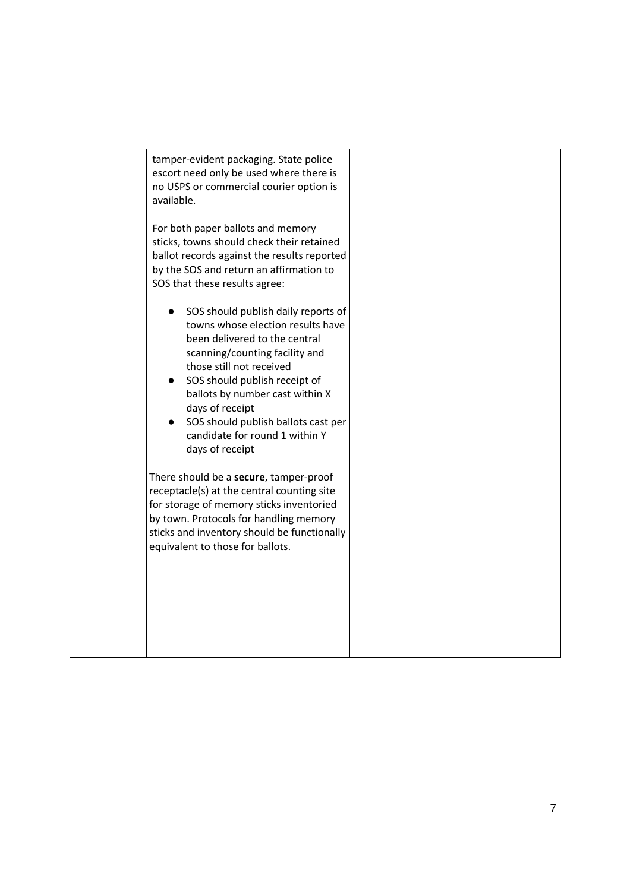tamper-evident packaging. State police escort need only be used where there is no USPS or commercial courier option is available.

For both paper ballots and memory sticks, towns should check their retained ballot records against the results reported by the SOS and return an affirmation to SOS that these results agree:

- SOS should publish daily reports of towns whose election results have been delivered to the central scanning/counting facility and those still not received
- SOS should publish receipt of ballots by number cast within X days of receipt
- SOS should publish ballots cast per candidate for round 1 within Y days of receipt

There should be a **secure**, tamper-proof receptacle(s) at the central counting site for storage of memory sticks inventoried by town. Protocols for handling memory sticks and inventory should be functionally equivalent to those for ballots.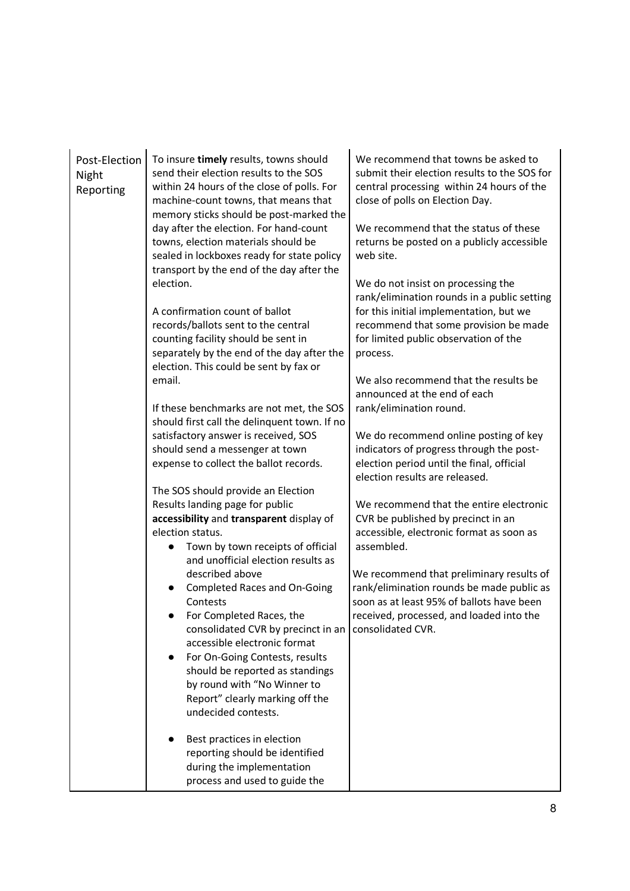| Post-Election<br>Night<br>Reporting | To insure timely results, towns should<br>send their election results to the SOS<br>within 24 hours of the close of polls. For<br>machine-count towns, that means that<br>memory sticks should be post-marked the<br>day after the election. For hand-count<br>towns, election materials should be<br>sealed in lockboxes ready for state policy<br>transport by the end of the day after the<br>election.<br>A confirmation count of ballot<br>records/ballots sent to the central<br>counting facility should be sent in<br>separately by the end of the day after the<br>election. This could be sent by fax or<br>email.<br>If these benchmarks are not met, the SOS<br>should first call the delinquent town. If no<br>satisfactory answer is received, SOS<br>should send a messenger at town<br>expense to collect the ballot records.<br>The SOS should provide an Election<br>Results landing page for public<br>accessibility and transparent display of | We recommend that towns be asked to<br>submit their election results to the SOS for<br>central processing within 24 hours of the<br>close of polls on Election Day.<br>We recommend that the status of these<br>returns be posted on a publicly accessible<br>web site.<br>We do not insist on processing the<br>rank/elimination rounds in a public setting<br>for this initial implementation, but we<br>recommend that some provision be made<br>for limited public observation of the<br>process.<br>We also recommend that the results be<br>announced at the end of each<br>rank/elimination round.<br>We do recommend online posting of key<br>indicators of progress through the post-<br>election period until the final, official<br>election results are released.<br>We recommend that the entire electronic<br>CVR be published by precinct in an |
|-------------------------------------|--------------------------------------------------------------------------------------------------------------------------------------------------------------------------------------------------------------------------------------------------------------------------------------------------------------------------------------------------------------------------------------------------------------------------------------------------------------------------------------------------------------------------------------------------------------------------------------------------------------------------------------------------------------------------------------------------------------------------------------------------------------------------------------------------------------------------------------------------------------------------------------------------------------------------------------------------------------------|----------------------------------------------------------------------------------------------------------------------------------------------------------------------------------------------------------------------------------------------------------------------------------------------------------------------------------------------------------------------------------------------------------------------------------------------------------------------------------------------------------------------------------------------------------------------------------------------------------------------------------------------------------------------------------------------------------------------------------------------------------------------------------------------------------------------------------------------------------------|
|                                     | Town by town receipts of official<br>and unofficial election results as<br>described above<br><b>Completed Races and On-Going</b><br>Contests<br>For Completed Races, the<br>consolidated CVR by precinct in an<br>accessible electronic format<br>For On-Going Contests, results<br>$\bullet$<br>should be reported as standings<br>by round with "No Winner to<br>Report" clearly marking off the<br>undecided contests.<br>Best practices in election<br>reporting should be identified<br>during the implementation<br>process and used to guide the                                                                                                                                                                                                                                                                                                                                                                                                           | assembled.<br>We recommend that preliminary results of<br>rank/elimination rounds be made public as<br>soon as at least 95% of ballots have been<br>received, processed, and loaded into the<br>consolidated CVR.                                                                                                                                                                                                                                                                                                                                                                                                                                                                                                                                                                                                                                              |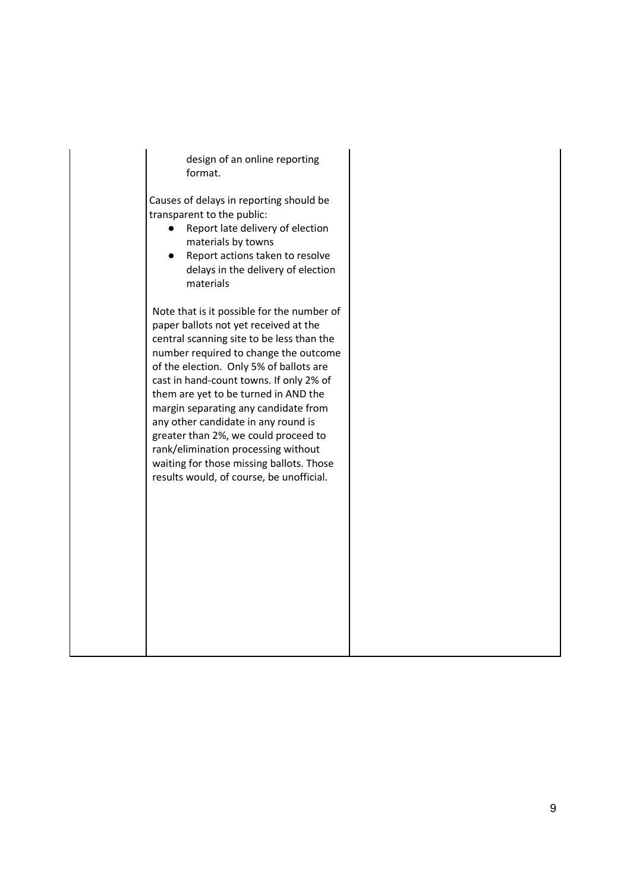design of an online reporting format.

Causes of delays in reporting should be transparent to the public:

- Report late delivery of election materials by towns
- Report actions taken to resolve delays in the delivery of election materials

Note that is it possible for the number of paper ballots not yet received at the central scanning site to be less than the number required to change the outcome of the election. Only 5% of ballots are cast in hand-count towns. If only 2% of them are yet to be turned in AND the margin separating any candidate from any other candidate in any round is greater than 2%, we could proceed to rank/elimination processing without waiting for those missing ballots. Those results would, of course, be unofficial.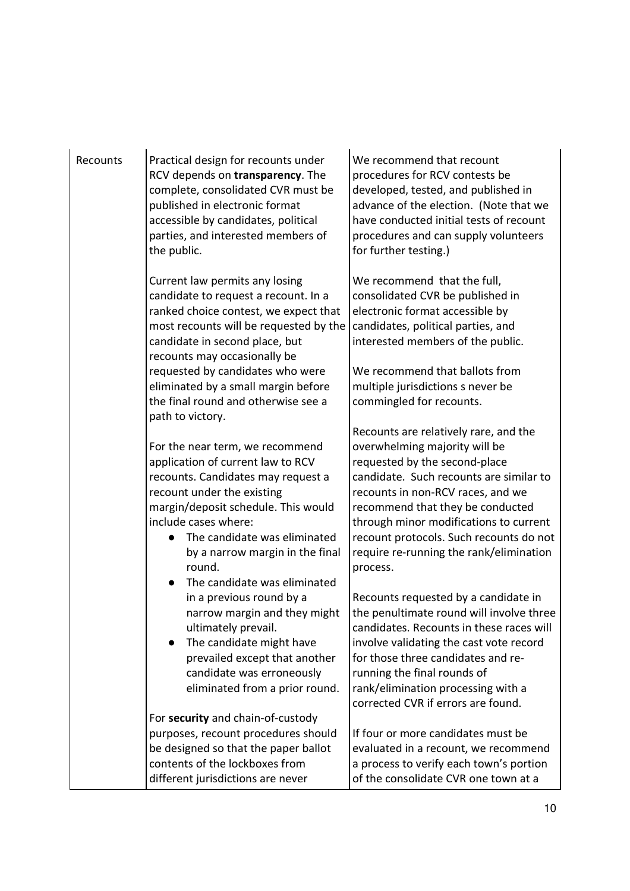| Recounts | Practical design for recounts under<br>RCV depends on transparency. The<br>complete, consolidated CVR must be<br>published in electronic format<br>accessible by candidates, political<br>parties, and interested members of<br>the public.                                                                                                                       | We recommend that recount<br>procedures for RCV contests be<br>developed, tested, and published in<br>advance of the election. (Note that we<br>have conducted initial tests of recount<br>procedures and can supply volunteers<br>for further testing.)                                                                                                                |
|----------|-------------------------------------------------------------------------------------------------------------------------------------------------------------------------------------------------------------------------------------------------------------------------------------------------------------------------------------------------------------------|-------------------------------------------------------------------------------------------------------------------------------------------------------------------------------------------------------------------------------------------------------------------------------------------------------------------------------------------------------------------------|
|          | Current law permits any losing<br>candidate to request a recount. In a<br>ranked choice contest, we expect that<br>most recounts will be requested by the<br>candidate in second place, but<br>recounts may occasionally be<br>requested by candidates who were<br>eliminated by a small margin before<br>the final round and otherwise see a<br>path to victory. | We recommend that the full,<br>consolidated CVR be published in<br>electronic format accessible by<br>candidates, political parties, and<br>interested members of the public.<br>We recommend that ballots from<br>multiple jurisdictions s never be<br>commingled for recounts.                                                                                        |
|          | For the near term, we recommend<br>application of current law to RCV<br>recounts. Candidates may request a<br>recount under the existing<br>margin/deposit schedule. This would<br>include cases where:<br>The candidate was eliminated<br>by a narrow margin in the final<br>round.<br>The candidate was eliminated                                              | Recounts are relatively rare, and the<br>overwhelming majority will be<br>requested by the second-place<br>candidate. Such recounts are similar to<br>recounts in non-RCV races, and we<br>recommend that they be conducted<br>through minor modifications to current<br>recount protocols. Such recounts do not<br>require re-running the rank/elimination<br>process. |
|          | in a previous round by a<br>narrow margin and they might<br>ultimately prevail.<br>The candidate might have<br>prevailed except that another<br>candidate was erroneously<br>eliminated from a prior round.                                                                                                                                                       | Recounts requested by a candidate in<br>the penultimate round will involve three<br>candidates. Recounts in these races will<br>involve validating the cast vote record<br>for those three candidates and re-<br>running the final rounds of<br>rank/elimination processing with a<br>corrected CVR if errors are found.                                                |
|          | For security and chain-of-custody<br>purposes, recount procedures should<br>be designed so that the paper ballot<br>contents of the lockboxes from<br>different jurisdictions are never                                                                                                                                                                           | If four or more candidates must be<br>evaluated in a recount, we recommend<br>a process to verify each town's portion<br>of the consolidate CVR one town at a                                                                                                                                                                                                           |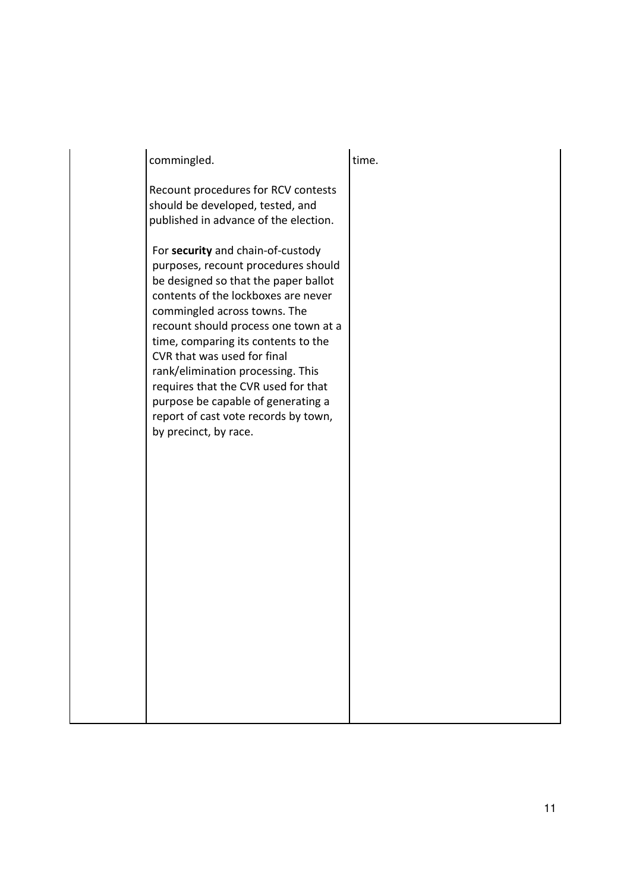| commingled.                                                                                                                                                                                                                                                                                                                                                                                                                                                                              | time. |
|------------------------------------------------------------------------------------------------------------------------------------------------------------------------------------------------------------------------------------------------------------------------------------------------------------------------------------------------------------------------------------------------------------------------------------------------------------------------------------------|-------|
| Recount procedures for RCV contests<br>should be developed, tested, and<br>published in advance of the election.                                                                                                                                                                                                                                                                                                                                                                         |       |
| For security and chain-of-custody<br>purposes, recount procedures should<br>be designed so that the paper ballot<br>contents of the lockboxes are never<br>commingled across towns. The<br>recount should process one town at a<br>time, comparing its contents to the<br>CVR that was used for final<br>rank/elimination processing. This<br>requires that the CVR used for that<br>purpose be capable of generating a<br>report of cast vote records by town,<br>by precinct, by race. |       |
|                                                                                                                                                                                                                                                                                                                                                                                                                                                                                          |       |
|                                                                                                                                                                                                                                                                                                                                                                                                                                                                                          |       |
|                                                                                                                                                                                                                                                                                                                                                                                                                                                                                          |       |